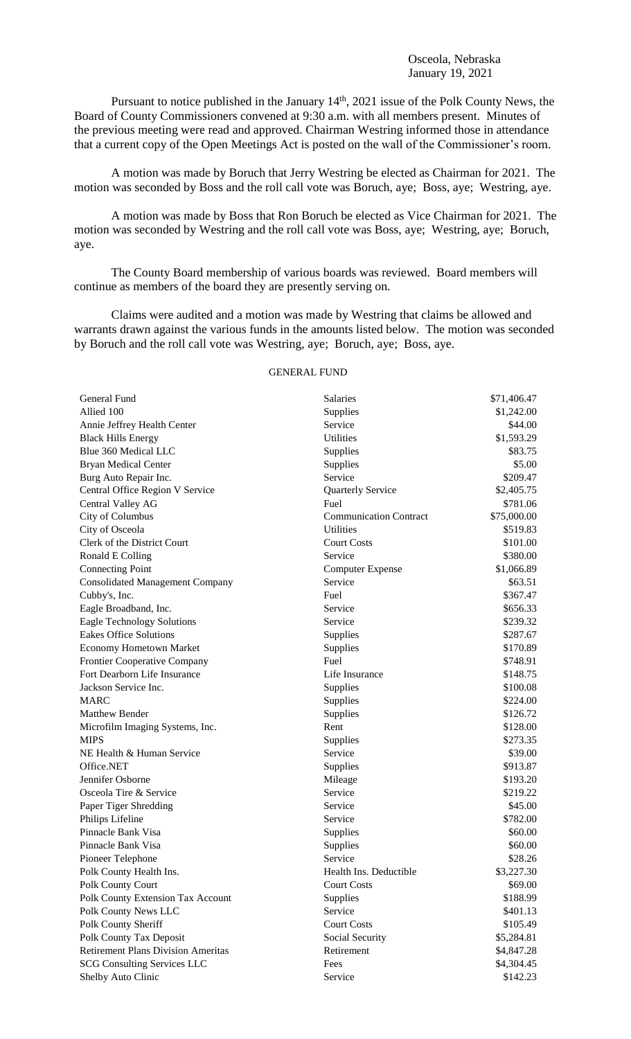Pursuant to notice published in the January 14<sup>th</sup>, 2021 issue of the Polk County News, the Board of County Commissioners convened at 9:30 a.m. with all members present. Minutes of the previous meeting were read and approved. Chairman Westring informed those in attendance that a current copy of the Open Meetings Act is posted on the wall of the Commissioner's room.

A motion was made by Boruch that Jerry Westring be elected as Chairman for 2021. The motion was seconded by Boss and the roll call vote was Boruch, aye; Boss, aye; Westring, aye.

A motion was made by Boss that Ron Boruch be elected as Vice Chairman for 2021. The motion was seconded by Westring and the roll call vote was Boss, aye; Westring, aye; Boruch, aye.

The County Board membership of various boards was reviewed. Board members will continue as members of the board they are presently serving on.

Claims were audited and a motion was made by Westring that claims be allowed and warrants drawn against the various funds in the amounts listed below. The motion was seconded by Boruch and the roll call vote was Westring, aye; Boruch, aye; Boss, aye.

## GENERAL FUND

| General Fund                              | Salaries                      | \$71,406.47 |
|-------------------------------------------|-------------------------------|-------------|
| Allied 100                                | Supplies                      | \$1,242.00  |
| Annie Jeffrey Health Center               | Service                       | \$44.00     |
| <b>Black Hills Energy</b>                 | <b>Utilities</b>              | \$1,593.29  |
| Blue 360 Medical LLC                      | Supplies                      | \$83.75     |
| <b>Bryan Medical Center</b>               | Supplies                      | \$5.00      |
| Burg Auto Repair Inc.                     | Service                       | \$209.47    |
| Central Office Region V Service           | <b>Quarterly Service</b>      | \$2,405.75  |
| Central Valley AG                         | Fuel                          | \$781.06    |
| City of Columbus                          | <b>Communication Contract</b> | \$75,000.00 |
| City of Osceola                           | <b>Utilities</b>              | \$519.83    |
| Clerk of the District Court               | <b>Court Costs</b>            | \$101.00    |
| Ronald E Colling                          | Service                       | \$380.00    |
| <b>Connecting Point</b>                   | <b>Computer Expense</b>       | \$1,066.89  |
| <b>Consolidated Management Company</b>    | Service                       | \$63.51     |
| Cubby's, Inc.                             | Fuel                          | \$367.47    |
| Eagle Broadband, Inc.                     | Service                       | \$656.33    |
| <b>Eagle Technology Solutions</b>         | Service                       | \$239.32    |
| <b>Eakes Office Solutions</b>             | Supplies                      | \$287.67    |
| <b>Economy Hometown Market</b>            | Supplies                      | \$170.89    |
| <b>Frontier Cooperative Company</b>       | Fuel                          | \$748.91    |
| Fort Dearborn Life Insurance              | Life Insurance                | \$148.75    |
| Jackson Service Inc.                      | Supplies                      | \$100.08    |
| <b>MARC</b>                               | Supplies                      | \$224.00    |
| Matthew Bender                            | Supplies                      | \$126.72    |
| Microfilm Imaging Systems, Inc.           | Rent                          | \$128.00    |
| <b>MIPS</b>                               | Supplies                      | \$273.35    |
| NE Health & Human Service                 | Service                       | \$39.00     |
| Office.NET                                | Supplies                      | \$913.87    |
| Jennifer Osborne                          | Mileage                       | \$193.20    |
| Osceola Tire & Service                    | Service                       | \$219.22    |
| Paper Tiger Shredding                     | Service                       | \$45.00     |
| Philips Lifeline                          | Service                       | \$782.00    |
| Pinnacle Bank Visa                        | Supplies                      | \$60.00     |
| Pinnacle Bank Visa                        | Supplies                      | \$60.00     |
| Pioneer Telephone                         | Service                       | \$28.26     |
| Polk County Health Ins.                   | Health Ins. Deductible        | \$3,227.30  |
| Polk County Court                         | <b>Court Costs</b>            | \$69.00     |
| Polk County Extension Tax Account         | Supplies                      | \$188.99    |
| Polk County News LLC                      | Service                       | \$401.13    |
| Polk County Sheriff                       | <b>Court Costs</b>            | \$105.49    |
| Polk County Tax Deposit                   | Social Security               | \$5,284.81  |
| <b>Retirement Plans Division Ameritas</b> | Retirement                    | \$4,847.28  |
| <b>SCG Consulting Services LLC</b>        | Fees                          | \$4,304.45  |
| Shelby Auto Clinic                        | Service                       | \$142.23    |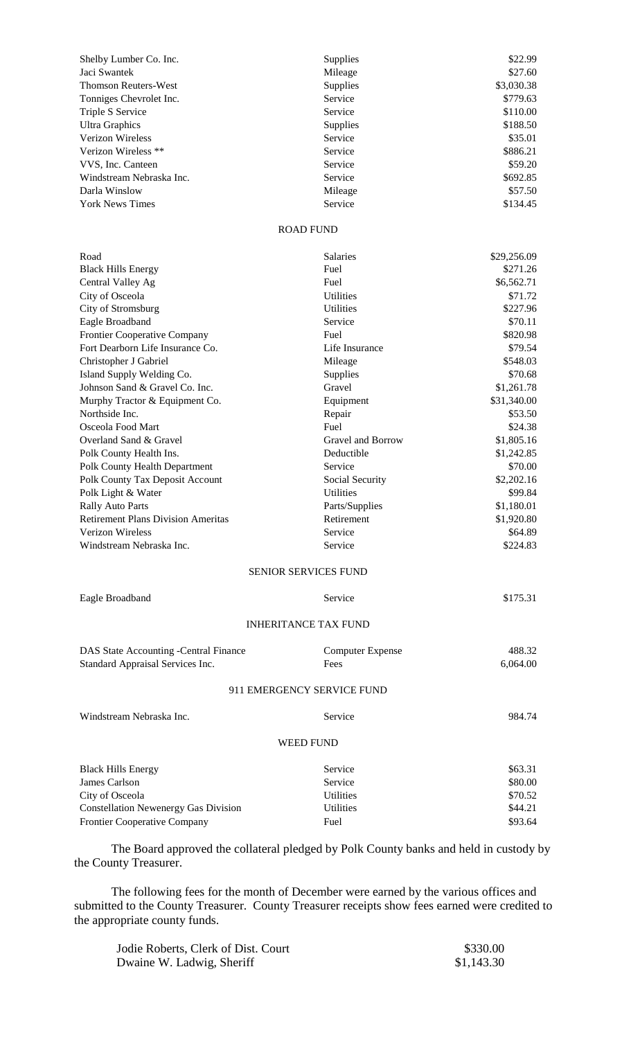| Shelby Lumber Co. Inc.      | <b>Supplies</b> | \$22.99    |
|-----------------------------|-----------------|------------|
| Jaci Swantek                | Mileage         | \$27.60    |
| <b>Thomson Reuters-West</b> | <b>Supplies</b> | \$3,030.38 |
| Tonniges Chevrolet Inc.     | Service         | \$779.63   |
| Triple S Service            | Service         | \$110.00   |
| Ultra Graphics              | <b>Supplies</b> | \$188.50   |
| <b>Verizon Wireless</b>     | Service         | \$35.01    |
| Verizon Wireless **         | Service         | \$886.21   |
| VVS, Inc. Canteen           | Service         | \$59.20    |
| Windstream Nebraska Inc.    | Service         | \$692.85   |
| Darla Winslow               | Mileage         | \$57.50    |
| <b>York News Times</b>      | Service         | \$134.45   |

## ROAD FUND

| Road                                        | Salaries                    | \$29,256.09 |
|---------------------------------------------|-----------------------------|-------------|
| <b>Black Hills Energy</b>                   | Fuel                        | \$271.26    |
| Central Valley Ag                           | Fuel                        | \$6,562.71  |
| City of Osceola                             | <b>Utilities</b>            | \$71.72     |
| City of Stromsburg                          | <b>Utilities</b>            | \$227.96    |
| Eagle Broadband                             | Service                     | \$70.11     |
| Frontier Cooperative Company                | Fuel                        | \$820.98    |
| Fort Dearborn Life Insurance Co.            | Life Insurance              | \$79.54     |
| Christopher J Gabriel                       | Mileage                     | \$548.03    |
| Island Supply Welding Co.                   | Supplies                    | \$70.68     |
| Johnson Sand & Gravel Co. Inc.              | Gravel                      | \$1,261.78  |
| Murphy Tractor & Equipment Co.              | Equipment                   | \$31,340.00 |
| Northside Inc.                              | Repair                      | \$53.50     |
| Osceola Food Mart                           | Fuel                        | \$24.38     |
| Overland Sand & Gravel                      | Gravel and Borrow           | \$1,805.16  |
| Polk County Health Ins.                     | Deductible                  | \$1,242.85  |
| Polk County Health Department               | Service                     | \$70.00     |
| Polk County Tax Deposit Account             | Social Security             | \$2,202.16  |
| Polk Light & Water                          | <b>Utilities</b>            | \$99.84     |
| <b>Rally Auto Parts</b>                     | Parts/Supplies              | \$1,180.01  |
| <b>Retirement Plans Division Ameritas</b>   | Retirement                  | \$1,920.80  |
| Verizon Wireless                            | Service                     | \$64.89     |
| Windstream Nebraska Inc.                    | Service                     | \$224.83    |
|                                             | <b>SENIOR SERVICES FUND</b> |             |
| Eagle Broadband                             | Service                     | \$175.31    |
|                                             | <b>INHERITANCE TAX FUND</b> |             |
| DAS State Accounting -Central Finance       | <b>Computer Expense</b>     | 488.32      |
| Standard Appraisal Services Inc.            | Fees                        | 6,064.00    |
|                                             | 911 EMERGENCY SERVICE FUND  |             |
| Windstream Nebraska Inc.                    | Service                     | 984.74      |
|                                             | <b>WEED FUND</b>            |             |
| <b>Black Hills Energy</b>                   | Service                     | \$63.31     |
| James Carlson                               | Service                     | \$80.00     |
| City of Osceola                             | Utilities                   | \$70.52     |
| <b>Constellation Newenergy Gas Division</b> | <b>Utilities</b>            | \$44.21     |
| Frontier Cooperative Company                | Fuel                        | \$93.64     |
|                                             |                             |             |

The Board approved the collateral pledged by Polk County banks and held in custody by the County Treasurer.

The following fees for the month of December were earned by the various offices and submitted to the County Treasurer. County Treasurer receipts show fees earned were credited to the appropriate county funds.

| Jodie Roberts, Clerk of Dist. Court | \$330.00   |
|-------------------------------------|------------|
| Dwaine W. Ladwig, Sheriff           | \$1,143.30 |